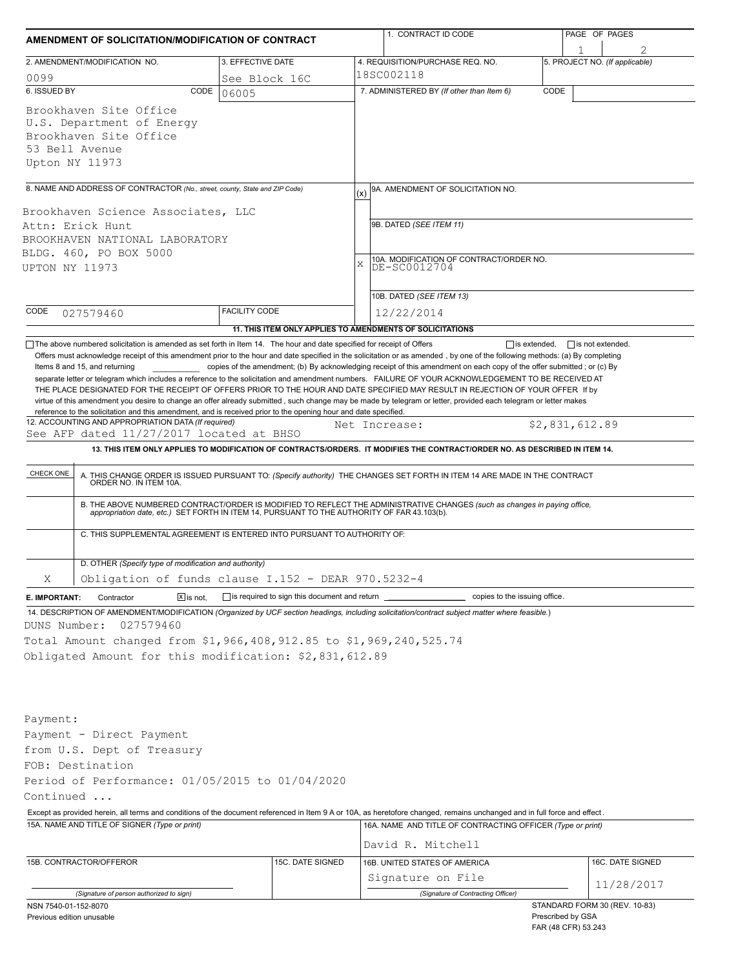| AMENDMENT OF SOLICITATION/MODIFICATION OF CONTRACT                                                                                                                                                                                                                                                                                                                                                                                                                                                                                                                                                                                                                                                               |                                                                                                                             |               | 1. CONTRACT ID CODE                                                                                                           | PAGE OF PAGES                                      |  |  |  |  |
|------------------------------------------------------------------------------------------------------------------------------------------------------------------------------------------------------------------------------------------------------------------------------------------------------------------------------------------------------------------------------------------------------------------------------------------------------------------------------------------------------------------------------------------------------------------------------------------------------------------------------------------------------------------------------------------------------------------|-----------------------------------------------------------------------------------------------------------------------------|---------------|-------------------------------------------------------------------------------------------------------------------------------|----------------------------------------------------|--|--|--|--|
| 2. AMENDMENT/MODIFICATION NO.                                                                                                                                                                                                                                                                                                                                                                                                                                                                                                                                                                                                                                                                                    | 3. EFFECTIVE DATE                                                                                                           |               | 4. REQUISITION/PURCHASE REQ. NO.                                                                                              | 1<br>5. PROJECT NO. (If applicable)                |  |  |  |  |
| 0099                                                                                                                                                                                                                                                                                                                                                                                                                                                                                                                                                                                                                                                                                                             | See Block 16C                                                                                                               |               | 18SC002118                                                                                                                    |                                                    |  |  |  |  |
| 6. ISSUED BY<br>CODE                                                                                                                                                                                                                                                                                                                                                                                                                                                                                                                                                                                                                                                                                             | 06005                                                                                                                       |               | 7. ADMINISTERED BY (If other than Item 6)                                                                                     | CODE                                               |  |  |  |  |
| Brookhaven Site Office<br>U.S. Department of Energy<br>Brookhaven Site Office<br>53 Bell Avenue<br>Upton NY 11973                                                                                                                                                                                                                                                                                                                                                                                                                                                                                                                                                                                                |                                                                                                                             |               |                                                                                                                               |                                                    |  |  |  |  |
| 8. NAME AND ADDRESS OF CONTRACTOR (No., street, county, State and ZIP Code)                                                                                                                                                                                                                                                                                                                                                                                                                                                                                                                                                                                                                                      |                                                                                                                             |               | 9A. AMENDMENT OF SOLICITATION NO.                                                                                             |                                                    |  |  |  |  |
| Brookhaven Science Associates, LLC<br>Attn: Erick Hunt<br>BROOKHAVEN NATIONAL LABORATORY<br>BLDG. 460, PO BOX 5000<br>UPTON NY 11973                                                                                                                                                                                                                                                                                                                                                                                                                                                                                                                                                                             |                                                                                                                             |               | 9B. DATED (SEE ITEM 11)<br>10A. MODIFICATION OF CONTRACT/ORDER NO.<br>$\mathbf x$<br>DE-SC0012704<br>10B. DATED (SEE ITEM 13) |                                                    |  |  |  |  |
| CODE<br>027579460                                                                                                                                                                                                                                                                                                                                                                                                                                                                                                                                                                                                                                                                                                | <b>FACILITY CODE</b>                                                                                                        |               | 12/22/2014                                                                                                                    |                                                    |  |  |  |  |
|                                                                                                                                                                                                                                                                                                                                                                                                                                                                                                                                                                                                                                                                                                                  | 11. THIS ITEM ONLY APPLIES TO AMENDMENTS OF SOLICITATIONS                                                                   |               |                                                                                                                               |                                                    |  |  |  |  |
| Items 8 and 15, and returning<br>separate letter or telegram which includes a reference to the solicitation and amendment numbers. FAILURE OF YOUR ACKNOWLEDGEMENT TO BE RECEIVED AT<br>THE PLACE DESIGNATED FOR THE RECEIPT OF OFFERS PRIOR TO THE HOUR AND DATE SPECIFIED MAY RESULT IN REJECTION OF YOUR OFFER If by<br>virtue of this amendment you desire to change an offer already submitted, such change may be made by telegram or letter, provided each telegram or letter makes<br>reference to the solicitation and this amendment, and is received prior to the opening hour and date specified.<br>12. ACCOUNTING AND APPROPRIATION DATA (If required)<br>See AFP dated 11/27/2017 located at BHSO | copies of the amendment; (b) By acknowledging receipt of this amendment on each copy of the offer submitted; or (c) By      | Net Increase: |                                                                                                                               | \$2,831,612.89                                     |  |  |  |  |
|                                                                                                                                                                                                                                                                                                                                                                                                                                                                                                                                                                                                                                                                                                                  | 13. THIS ITEM ONLY APPLIES TO MODIFICATION OF CONTRACTS/ORDERS. IT MODIFIES THE CONTRACT/ORDER NO. AS DESCRIBED IN ITEM 14. |               |                                                                                                                               |                                                    |  |  |  |  |
| CHECK ONE<br>A. THIS CHANGE ORDER IS ISSUED PURSUANT TO: (Specify authority) THE CHANGES SET FORTH IN ITEM 14 ARE MADE IN THE CONTRACT ORDER NO. IN ITEM 10A.<br>B. THE ABOVE NUMBERED CONTRACT/ORDER IS MODIFIED TO REFLECT THE ADMINISTRATIVE CHANGES (such as changes in paying office,<br>appropriation date, etc.) SET FORTH IN ITEM 14, PURSUANT TO THE AUTHORITY OF FAR 43.103(b).<br>C. THIS SUPPLEMENTAL AGREEMENT IS ENTERED INTO PURSUANT TO AUTHORITY OF:                                                                                                                                                                                                                                            |                                                                                                                             |               |                                                                                                                               |                                                    |  |  |  |  |
|                                                                                                                                                                                                                                                                                                                                                                                                                                                                                                                                                                                                                                                                                                                  |                                                                                                                             |               |                                                                                                                               |                                                    |  |  |  |  |
| D. OTHER (Specify type of modification and authority)<br>Obligation of funds clause I.152 - DEAR 970.5232-4<br>Χ                                                                                                                                                                                                                                                                                                                                                                                                                                                                                                                                                                                                 |                                                                                                                             |               |                                                                                                                               |                                                    |  |  |  |  |
| $\boxed{\mathsf{x}}$ is not.<br>E. IMPORTANT:<br>Contractor                                                                                                                                                                                                                                                                                                                                                                                                                                                                                                                                                                                                                                                      | is required to sign this document and return                                                                                |               | copies to the issuing office.                                                                                                 |                                                    |  |  |  |  |
| 14. DESCRIPTION OF AMENDMENT/MODIFICATION (Organized by UCF section headings, including solicitation/contract subject matter where feasible.)<br>027579460<br>DUNS Number:<br>Total Amount changed from \$1,966,408,912.85 to \$1,969,240,525.74<br>Obligated Amount for this modification: \$2,831,612.89                                                                                                                                                                                                                                                                                                                                                                                                       |                                                                                                                             |               |                                                                                                                               |                                                    |  |  |  |  |
| Payment:<br>Payment - Direct Payment                                                                                                                                                                                                                                                                                                                                                                                                                                                                                                                                                                                                                                                                             |                                                                                                                             |               |                                                                                                                               |                                                    |  |  |  |  |
| from U.S. Dept of Treasury<br>FOB: Destination                                                                                                                                                                                                                                                                                                                                                                                                                                                                                                                                                                                                                                                                   |                                                                                                                             |               |                                                                                                                               |                                                    |  |  |  |  |
| Period of Performance: 01/05/2015 to 01/04/2020                                                                                                                                                                                                                                                                                                                                                                                                                                                                                                                                                                                                                                                                  |                                                                                                                             |               |                                                                                                                               |                                                    |  |  |  |  |
| Continued                                                                                                                                                                                                                                                                                                                                                                                                                                                                                                                                                                                                                                                                                                        |                                                                                                                             |               |                                                                                                                               |                                                    |  |  |  |  |
| Except as provided herein, all terms and conditions of the document referenced in Item 9 A or 10A, as heretofore changed, remains unchanged and in full force and effect.                                                                                                                                                                                                                                                                                                                                                                                                                                                                                                                                        |                                                                                                                             |               |                                                                                                                               |                                                    |  |  |  |  |
| 15A. NAME AND TITLE OF SIGNER (Type or print)                                                                                                                                                                                                                                                                                                                                                                                                                                                                                                                                                                                                                                                                    |                                                                                                                             |               | 16A. NAME AND TITLE OF CONTRACTING OFFICER (Type or print)                                                                    |                                                    |  |  |  |  |
|                                                                                                                                                                                                                                                                                                                                                                                                                                                                                                                                                                                                                                                                                                                  |                                                                                                                             |               | David R. Mitchell                                                                                                             |                                                    |  |  |  |  |
| 15B. CONTRACTOR/OFFEROR                                                                                                                                                                                                                                                                                                                                                                                                                                                                                                                                                                                                                                                                                          | 15C. DATE SIGNED                                                                                                            |               | 16B. UNITED STATES OF AMERICA                                                                                                 | 16C. DATE SIGNED                                   |  |  |  |  |
|                                                                                                                                                                                                                                                                                                                                                                                                                                                                                                                                                                                                                                                                                                                  |                                                                                                                             |               | Signature on File                                                                                                             | 11/28/2017                                         |  |  |  |  |
| (Signature of person authorized to sign)                                                                                                                                                                                                                                                                                                                                                                                                                                                                                                                                                                                                                                                                         |                                                                                                                             |               | (Signature of Contracting Officer)                                                                                            |                                                    |  |  |  |  |
| NSN 7540-01-152-8070<br>Previous edition unusable                                                                                                                                                                                                                                                                                                                                                                                                                                                                                                                                                                                                                                                                |                                                                                                                             |               |                                                                                                                               | STANDARD FORM 30 (REV. 10-83)<br>Prescribed by GSA |  |  |  |  |